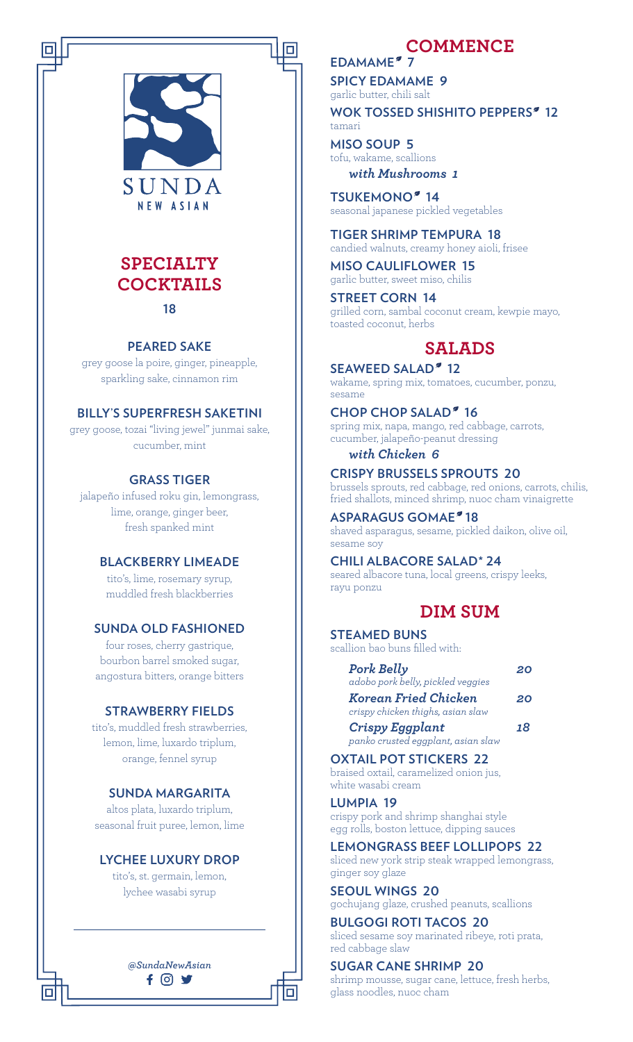

# **SPECIALTY COCKTAILS 18**

#### **PEARED SAKE**

grey goose la poire, ginger, pineapple, sparkling sake, cinnamon rim

#### **BILLY'S SUPERFRESH SAKETINI**

grey goose, tozai "living jewel" junmai sake, cucumber, mint

#### **GRASS TIGER**

jalapeño infused roku gin, lemongrass, lime, orange, ginger beer, fresh spanked mint

### **BLACKBERRY LIMEADE**

tito's, lime, rosemary syrup, muddled fresh blackberries

#### **SUNDA OLD FASHIONED**

four roses, cherry gastrique, bourbon barrel smoked sugar, angostura bitters, orange bitters

#### **STRAWBERRY FIELDS**

tito's, muddled fresh strawberries, lemon, lime, luxardo triplum, orange, fennel syrup

## **SUNDA MARGARITA**

altos plata, luxardo triplum, seasonal fruit puree, lemon, lime

### **LYCHEE LUXURY DROP**

tito's, st. germain, lemon, lychee wasabi syrup

*@SundaNewAsian*

 $f$   $\odot$  y

# **COMMENCE**

EDAMAME<sup>2</sup> 7 **SPICY EDAMAME 9**

garlic butter, chili salt

WOK TOSSED SHISHITO PEPPERS<sup>®</sup> 12 tamari

**MISO SOUP 5** tofu, wakame, scallions *with Mushrooms 1*

**TSUKEMONO<sup>®</sup> 14** seasonal japanese pickled vegetables

**TIGER SHRIMP TEMPURA 18** candied walnuts, creamy honey aioli, frisee

**MISO CAULIFLOWER 15** garlic butter, sweet miso, chilis

**STREET CORN 14** grilled corn, sambal coconut cream, kewpie mayo, toasted coconut, herbs

# **SALADS**

**SEAWEED SALAD<sup>®</sup> 12** wakame, spring mix, tomatoes, cucumber, ponzu, sesame

#### **CHOP CHOP SALAD<sup>®</sup> 16**

spring mix, napa, mango, red cabbage, carrots, cucumber, jalapeño-peanut dressing

#### *with Chicken 6*

**CRISPY BRUSSELS SPROUTS 20** brussels sprouts, red cabbage, red onions, carrots, chilis, fried shallots, minced shrimp, nuoc cham vinaigrette

**ASPARAGUS GOMAE 18** shaved asparagus, sesame, pickled daikon, olive oil, sesame soy

**CHILI ALBACORE SALAD\* 24** seared albacore tuna, local greens, crispy leeks, rayu ponzu

# **DIM SUM**

#### **STEAMED BUNS** scallion bao buns filled with:

*Pork Belly 20 adobo pork belly, pickled veggies Korean Fried Chicken 20 crispy chicken thighs, asian slaw Crispy Eggplant 18*

*panko crusted eggplant, asian slaw*

#### **OXTAIL POT STICKERS 22**

braised oxtail, caramelized onion jus, white wasabi cream

**LUMPIA 19**

crispy pork and shrimp shanghai style egg rolls, boston lettuce, dipping sauces

#### **LEMONGRASS BEEF LOLLIPOPS 22**

sliced new york strip steak wrapped lemongrass, ginger soy glaze

**SEOUL WINGS 20**

gochujang glaze, crushed peanuts, scallions

**BULGOGI ROTI TACOS 20** sliced sesame soy marinated ribeye, roti prata,

red cabbage slaw

#### **SUGAR CANE SHRIMP 20**

shrimp mousse, sugar cane, lettuce, fresh herbs, glass noodles, nuoc cham